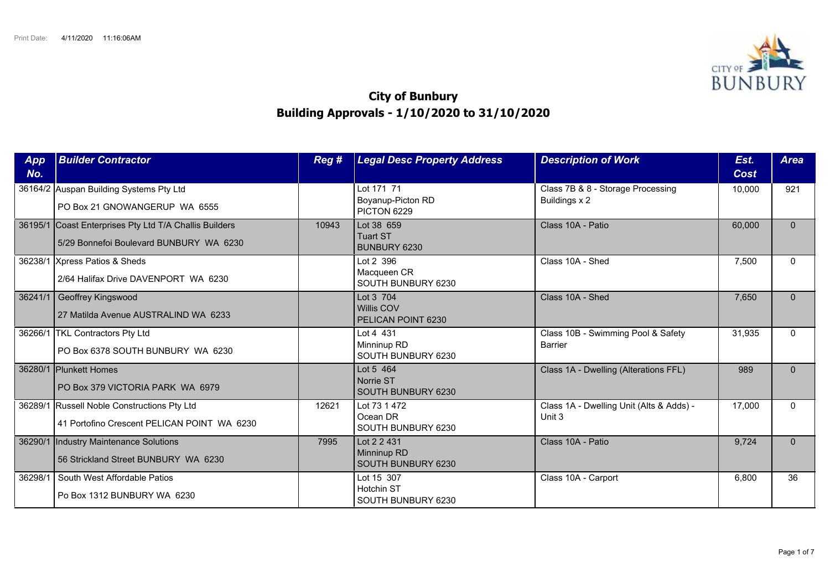

## **City of Bunbury Building Approvals - 1/10/2020 to 31/10/2020**

| <b>App</b><br>No. | <b>Builder Contractor</b>                                                                         | Reg # | <b>Legal Desc Property Address</b>                      | <b>Description of Work</b>                         | Est.<br>Cost | <b>Area</b>  |
|-------------------|---------------------------------------------------------------------------------------------------|-------|---------------------------------------------------------|----------------------------------------------------|--------------|--------------|
|                   | 36164/2 Auspan Building Systems Pty Ltd<br>PO Box 21 GNOWANGERUP WA 6555                          |       | Lot 171 71<br>Boyanup-Picton RD<br>PICTON 6229          | Class 7B & 8 - Storage Processing<br>Buildings x 2 | 10,000       | 921          |
|                   | 36195/1 Coast Enterprises Pty Ltd T/A Challis Builders<br>5/29 Bonnefoi Boulevard BUNBURY WA 6230 | 10943 | Lot 38 659<br><b>Tuart ST</b><br>BUNBURY 6230           | Class 10A - Patio                                  | 60,000       | $\mathbf{0}$ |
|                   | 36238/1 Xpress Patios & Sheds<br>2/64 Halifax Drive DAVENPORT WA 6230                             |       | Lot 2 396<br>Macqueen CR<br>SOUTH BUNBURY 6230          | Class 10A - Shed                                   | 7,500        | $\Omega$     |
| 36241/1           | Geoffrey Kingswood<br>27 Matilda Avenue AUSTRALIND WA 6233                                        |       | Lot 3 704<br><b>Willis COV</b><br>PELICAN POINT 6230    | Class 10A - Shed                                   | 7,650        | $\Omega$     |
|                   | 36266/1   TKL Contractors Pty Ltd<br>PO Box 6378 SOUTH BUNBURY WA 6230                            |       | Lot 4 431<br>Minninup RD<br>SOUTH BUNBURY 6230          | Class 10B - Swimming Pool & Safety<br>Barrier      | 31,935       | $\Omega$     |
|                   | 36280/1 Plunkett Homes<br>PO Box 379 VICTORIA PARK WA 6979                                        |       | Lot 5 464<br>Norrie ST<br>SOUTH BUNBURY 6230            | Class 1A - Dwelling (Alterations FFL)              | 989          | $\Omega$     |
|                   | 36289/1 Russell Noble Constructions Pty Ltd<br>41 Portofino Crescent PELICAN POINT WA 6230        | 12621 | Lot 73 1 472<br>Ocean DR<br>SOUTH BUNBURY 6230          | Class 1A - Dwelling Unit (Alts & Adds) -<br>Unit 3 | 17,000       | $\Omega$     |
| 36290/1           | Industry Maintenance Solutions<br>56 Strickland Street BUNBURY WA 6230                            | 7995  | Lot 2 2 431<br>Minninup RD<br><b>SOUTH BUNBURY 6230</b> | Class 10A - Patio                                  | 9,724        | $\Omega$     |
| 36298/1           | South West Affordable Patios<br>Po Box 1312 BUNBURY WA 6230                                       |       | Lot 15 307<br>Hotchin ST<br>SOUTH BUNBURY 6230          | Class 10A - Carport                                | 6,800        | 36           |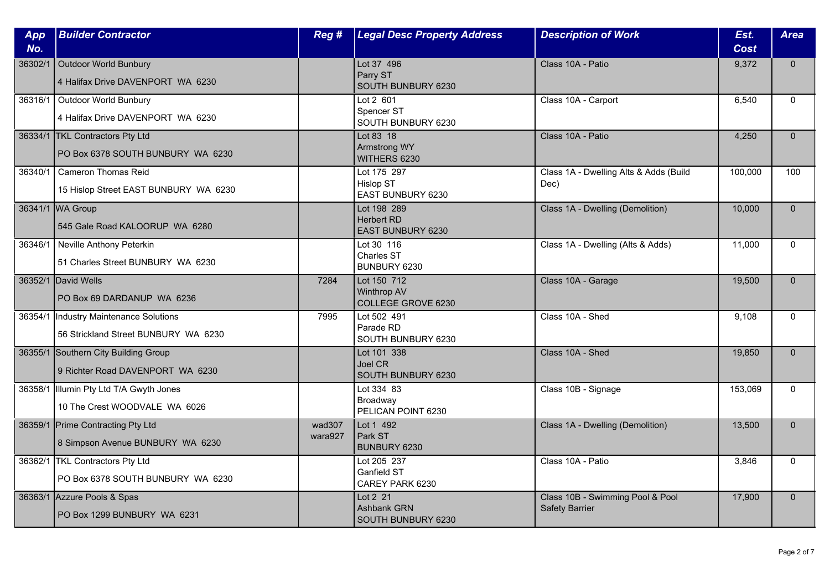| App<br>No. | <b>Builder Contractor</b>                                                | Reg #             | <b>Legal Desc Property Address</b>                           | <b>Description of Work</b>                                | Est.<br>Cost | <b>Area</b>  |
|------------|--------------------------------------------------------------------------|-------------------|--------------------------------------------------------------|-----------------------------------------------------------|--------------|--------------|
| 36302/1    | <b>Outdoor World Bunbury</b><br>4 Halifax Drive DAVENPORT WA 6230        |                   | Lot 37 496<br>Parry ST<br>SOUTH BUNBURY 6230                 | Class 10A - Patio                                         | 9,372        | $\mathbf{0}$ |
| 36316/1    | Outdoor World Bunbury<br>4 Halifax Drive DAVENPORT WA 6230               |                   | Lot 2 601<br>Spencer ST<br>SOUTH BUNBURY 6230                | Class 10A - Carport                                       | 6.540        | $\Omega$     |
|            | 36334/1 TKL Contractors Pty Ltd<br>PO Box 6378 SOUTH BUNBURY WA 6230     |                   | Lot 83 18<br><b>Armstrong WY</b><br>WITHERS 6230             | Class 10A - Patio                                         | 4,250        | $\mathbf{0}$ |
| 36340/1    | <b>Cameron Thomas Reid</b><br>15 Hislop Street EAST BUNBURY WA 6230      |                   | Lot 175 297<br><b>Hislop ST</b><br>EAST BUNBURY 6230         | Class 1A - Dwelling Alts & Adds (Build<br>Dec)            | 100,000      | 100          |
|            | 36341/1 WA Group<br>545 Gale Road KALOORUP WA 6280                       |                   | Lot 198 289<br><b>Herbert RD</b><br><b>EAST BUNBURY 6230</b> | Class 1A - Dwelling (Demolition)                          | 10,000       | $\Omega$     |
| 36346/1    | Neville Anthony Peterkin<br>51 Charles Street BUNBURY WA 6230            |                   | Lot 30 116<br><b>Charles ST</b><br>BUNBURY 6230              | Class 1A - Dwelling (Alts & Adds)                         | 11,000       | $\Omega$     |
|            | 36352/1 David Wells<br>PO Box 69 DARDANUP WA 6236                        | 7284              | Lot 150 712<br><b>Winthrop AV</b><br>COLLEGE GROVE 6230      | Class 10A - Garage                                        | 19,500       | $\mathbf{0}$ |
| 36354/1    | Industry Maintenance Solutions<br>56 Strickland Street BUNBURY WA 6230   | 7995              | Lot 502 491<br>Parade RD<br>SOUTH BUNBURY 6230               | Class 10A - Shed                                          | 9,108        | $\mathbf{0}$ |
|            | 36355/1 Southern City Building Group<br>9 Richter Road DAVENPORT WA 6230 |                   | Lot 101 338<br>Joel CR<br>SOUTH BUNBURY 6230                 | Class 10A - Shed                                          | 19,850       | $\Omega$     |
| 36358/1    | Illumin Pty Ltd T/A Gwyth Jones<br>10 The Crest WOODVALE WA 6026         |                   | Lot 334 83<br>Broadway<br>PELICAN POINT 6230                 | Class 10B - Signage                                       | 153,069      | $\mathbf{0}$ |
|            | 36359/1 Prime Contracting Pty Ltd<br>8 Simpson Avenue BUNBURY WA 6230    | wad307<br>wara927 | Lot 1 492<br>Park ST<br>BUNBURY 6230                         | Class 1A - Dwelling (Demolition)                          | 13,500       | $\mathbf{0}$ |
|            | 36362/1 TKL Contractors Pty Ltd<br>PO Box 6378 SOUTH BUNBURY WA 6230     |                   | Lot 205 237<br>Ganfield ST<br>CAREY PARK 6230                | Class 10A - Patio                                         | 3,846        | $\Omega$     |
|            | 36363/1 Azzure Pools & Spas<br>PO Box 1299 BUNBURY WA 6231               |                   | Lot 2 21<br><b>Ashbank GRN</b><br>SOUTH BUNBURY 6230         | Class 10B - Swimming Pool & Pool<br><b>Safety Barrier</b> | 17,900       | $\mathbf{0}$ |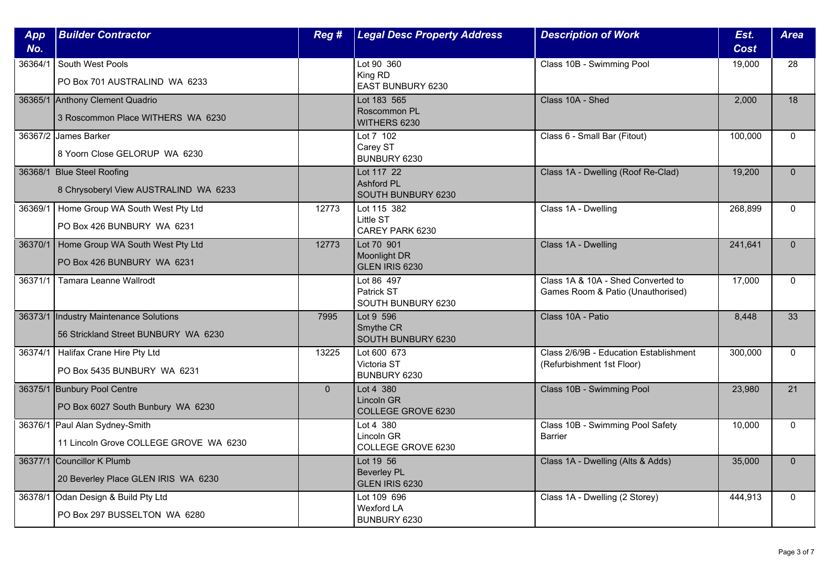| App<br>No. | <b>Builder Contractor</b>                                                       | Reg #          | <b>Legal Desc Property Address</b>                    | <b>Description of Work</b>                                              | Est.<br><b>Cost</b> | <b>Area</b>  |
|------------|---------------------------------------------------------------------------------|----------------|-------------------------------------------------------|-------------------------------------------------------------------------|---------------------|--------------|
| 36364/1    | South West Pools<br>PO Box 701 AUSTRALIND WA 6233                               |                | Lot 90 360<br>King RD<br>EAST BUNBURY 6230            | Class 10B - Swimming Pool                                               | 19,000              | 28           |
|            | 36365/1 Anthony Clement Quadrio<br>3 Roscommon Place WITHERS WA 6230            |                | Lot 183 565<br>Roscommon PL<br>WITHERS 6230           | Class 10A - Shed                                                        | 2.000               | 18           |
|            | 36367/2 James Barker<br>8 Yoorn Close GELORUP WA 6230                           |                | Lot 7 102<br>Carey ST<br>BUNBURY 6230                 | Class 6 - Small Bar (Fitout)                                            | 100,000             | $\Omega$     |
|            | 36368/1 Blue Steel Roofing<br>8 Chrysoberyl View AUSTRALIND WA 6233             |                | Lot 117 22<br><b>Ashford PL</b><br>SOUTH BUNBURY 6230 | Class 1A - Dwelling (Roof Re-Clad)                                      | 19,200              | $\mathbf{0}$ |
| 36369/1    | Home Group WA South West Pty Ltd<br>PO Box 426 BUNBURY WA 6231                  | 12773          | Lot 115 382<br>Little ST<br>CAREY PARK 6230           | Class 1A - Dwelling                                                     | 268,899             | $\Omega$     |
|            | 36370/1   Home Group WA South West Pty Ltd<br>PO Box 426 BUNBURY WA 6231        | 12773          | Lot 70 901<br><b>Moonlight DR</b><br>GLEN IRIS 6230   | Class 1A - Dwelling                                                     | 241,641             | $\Omega$     |
| 36371/1    | Tamara Leanne Wallrodt                                                          |                | Lot 86 497<br>Patrick ST<br>SOUTH BUNBURY 6230        | Class 1A & 10A - Shed Converted to<br>Games Room & Patio (Unauthorised) | 17,000              | $\mathbf 0$  |
|            | 36373/1  Industry Maintenance Solutions<br>56 Strickland Street BUNBURY WA 6230 | 7995           | Lot 9 596<br>Smythe CR<br>SOUTH BUNBURY 6230          | Class 10A - Patio                                                       | 8,448               | 33           |
|            | 36374/1   Halifax Crane Hire Pty Ltd<br>PO Box 5435 BUNBURY WA 6231             | 13225          | Lot 600 673<br>Victoria ST<br>BUNBURY 6230            | Class 2/6/9B - Education Establishment<br>(Refurbishment 1st Floor)     | 300,000             | $\Omega$     |
|            | 36375/1 Bunbury Pool Centre<br>PO Box 6027 South Bunbury WA 6230                | $\overline{0}$ | Lot 4 380<br>Lincoln GR<br>COLLEGE GROVE 6230         | Class 10B - Swimming Pool                                               | 23,980              | 21           |
|            | 36376/1 Paul Alan Sydney-Smith<br>11 Lincoln Grove COLLEGE GROVE WA 6230        |                | Lot 4 380<br>Lincoln GR<br>COLLEGE GROVE 6230         | Class 10B - Swimming Pool Safety<br><b>Barrier</b>                      | 10,000              | $\mathbf{0}$ |
|            | 36377/1 Councillor K Plumb<br>20 Beverley Place GLEN IRIS WA 6230               |                | Lot 19 56<br><b>Beverley PL</b><br>GLEN IRIS 6230     | Class 1A - Dwelling (Alts & Adds)                                       | 35,000              | $\Omega$     |
| 36378/1    | Odan Design & Build Pty Ltd<br>PO Box 297 BUSSELTON WA 6280                     |                | Lot 109 696<br><b>Wexford LA</b><br>BUNBURY 6230      | Class 1A - Dwelling (2 Storey)                                          | 444,913             | $\mathbf{0}$ |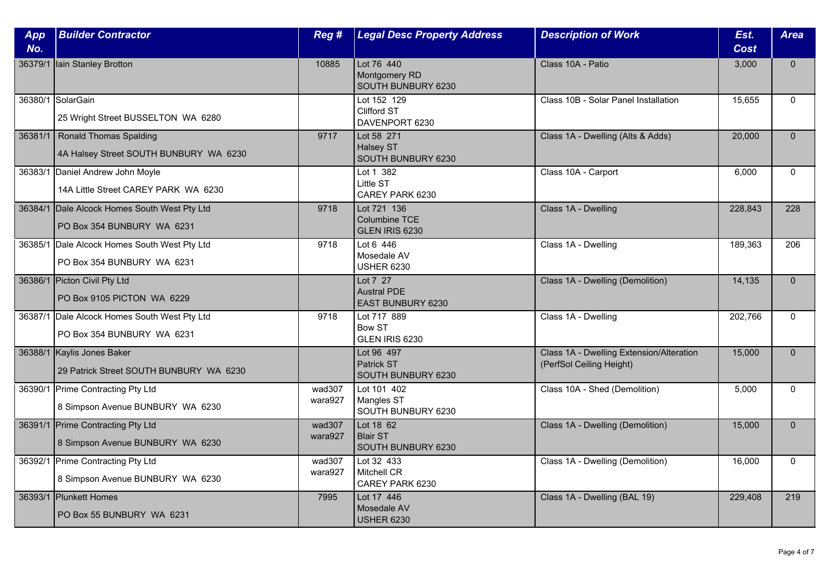| App<br>No. | <b>Builder Contractor</b>                                                  | Reg #             | <b>Legal Desc Property Address</b>                         | <b>Description of Work</b>                                           | Est.<br><b>Cost</b> | <b>Area</b>  |
|------------|----------------------------------------------------------------------------|-------------------|------------------------------------------------------------|----------------------------------------------------------------------|---------------------|--------------|
|            | 36379/1 Iain Stanley Brotton                                               | 10885             | Lot 76 440<br>Montgomery RD<br>SOUTH BUNBURY 6230          | Class 10A - Patio                                                    | 3,000               | $\mathbf{0}$ |
|            | 36380/1 SolarGain<br>25 Wright Street BUSSELTON WA 6280                    |                   | Lot 152 129<br>Clifford ST<br>DAVENPORT 6230               | Class 10B - Solar Panel Installation                                 | 15,655              | $\mathbf{0}$ |
|            | 36381/1   Ronald Thomas Spalding<br>4A Halsey Street SOUTH BUNBURY WA 6230 | 9717              | Lot 58 271<br>Halsey ST<br>SOUTH BUNBURY 6230              | Class 1A - Dwelling (Alts & Adds)                                    | 20,000              | $\mathbf{0}$ |
|            | 36383/1 Daniel Andrew John Moyle<br>14A Little Street CAREY PARK WA 6230   |                   | Lot 1 382<br>Little ST<br>CAREY PARK 6230                  | Class 10A - Carport                                                  | 6,000               | $\Omega$     |
|            | 36384/1 Dale Alcock Homes South West Pty Ltd<br>PO Box 354 BUNBURY WA 6231 | 9718              | Lot 721 136<br>Columbine TCE<br>GLEN IRIS 6230             | Class 1A - Dwelling                                                  | 228,843             | 228          |
| 36385/1    | Dale Alcock Homes South West Pty Ltd<br>PO Box 354 BUNBURY WA 6231         | 9718              | Lot 6 446<br>Mosedale AV<br><b>USHER 6230</b>              | Class 1A - Dwelling                                                  | 189,363             | 206          |
|            | 36386/1 Picton Civil Pty Ltd<br>PO Box 9105 PICTON WA 6229                 |                   | Lot 7 27<br><b>Austral PDE</b><br><b>EAST BUNBURY 6230</b> | Class 1A - Dwelling (Demolition)                                     | 14,135              | $\mathbf{0}$ |
|            | 36387/1 Dale Alcock Homes South West Pty Ltd<br>PO Box 354 BUNBURY WA 6231 | 9718              | Lot 717 889<br><b>Bow ST</b><br>GLEN IRIS 6230             | Class 1A - Dwelling                                                  | 202,766             | $\Omega$     |
|            | 36388/1 Kaylis Jones Baker<br>29 Patrick Street SOUTH BUNBURY WA 6230      |                   | Lot 96 497<br>Patrick ST<br>SOUTH BUNBURY 6230             | Class 1A - Dwelling Extension/Alteration<br>(PerfSol Ceiling Height) | 15,000              | $\Omega$     |
|            | 36390/1 Prime Contracting Pty Ltd<br>8 Simpson Avenue BUNBURY WA 6230      | wad307<br>wara927 | Lot 101 402<br>Mangles ST<br>SOUTH BUNBURY 6230            | Class 10A - Shed (Demolition)                                        | 5,000               | $\mathbf{0}$ |
|            | 36391/1 Prime Contracting Pty Ltd<br>8 Simpson Avenue BUNBURY WA 6230      | wad307<br>wara927 | Lot 18 62<br><b>Blair ST</b><br>SOUTH BUNBURY 6230         | Class 1A - Dwelling (Demolition)                                     | 15,000              | $\mathbf{0}$ |
|            | 36392/1 Prime Contracting Pty Ltd<br>8 Simpson Avenue BUNBURY WA 6230      | wad307<br>wara927 | Lot 32 433<br><b>Mitchell CR</b><br>CAREY PARK 6230        | Class 1A - Dwelling (Demolition)                                     | 16,000              | $\Omega$     |
|            | 36393/1 Plunkett Homes<br>PO Box 55 BUNBURY WA 6231                        | 7995              | Lot 17 446<br>Mosedale AV<br><b>USHER 6230</b>             | Class 1A - Dwelling (BAL 19)                                         | 229,408             | 219          |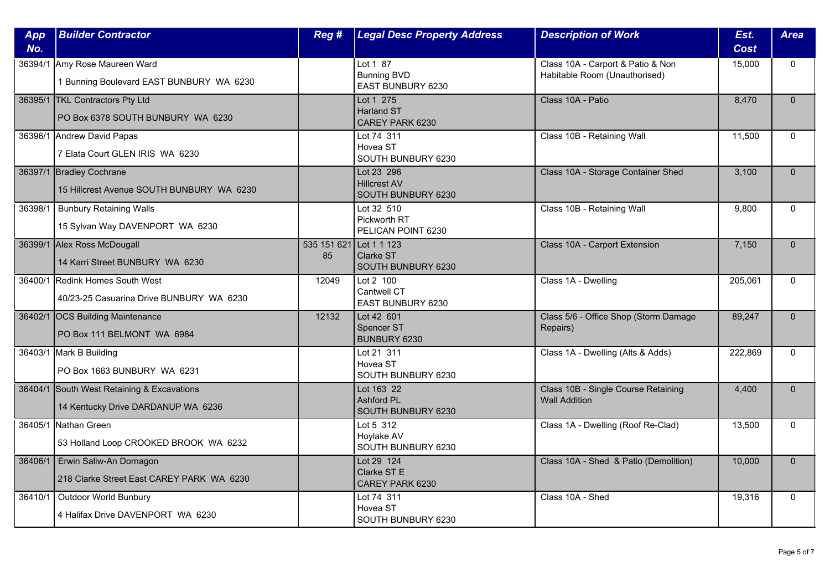| App<br>No. | <b>Builder Contractor</b>                                                        | Reg #                         | <b>Legal Desc Property Address</b>                      | <b>Description of Work</b>                                         | Est.<br><b>Cost</b> | <b>Area</b>  |
|------------|----------------------------------------------------------------------------------|-------------------------------|---------------------------------------------------------|--------------------------------------------------------------------|---------------------|--------------|
|            | 36394/1 Amy Rose Maureen Ward<br>1 Bunning Boulevard EAST BUNBURY WA 6230        |                               | Lot 1 87<br><b>Bunning BVD</b><br>EAST BUNBURY 6230     | Class 10A - Carport & Patio & Non<br>Habitable Room (Unauthorised) | 15,000              | $\mathbf{0}$ |
|            | 36395/1 TKL Contractors Pty Ltd<br>PO Box 6378 SOUTH BUNBURY WA 6230             |                               | Lot 1 275<br><b>Harland ST</b><br>CAREY PARK 6230       | Class 10A - Patio                                                  | 8.470               | $\Omega$     |
|            | 36396/1 Andrew David Papas<br>7 Elata Court GLEN IRIS WA 6230                    |                               | Lot 74 311<br>Hovea ST<br>SOUTH BUNBURY 6230            | Class 10B - Retaining Wall                                         | 11,500              | $\Omega$     |
|            | 36397/1 Bradley Cochrane<br>15 Hillcrest Avenue SOUTH BUNBURY WA 6230            |                               | Lot 23 296<br><b>Hillcrest AV</b><br>SOUTH BUNBURY 6230 | Class 10A - Storage Container Shed                                 | 3,100               | $\mathbf{0}$ |
| 36398/1    | <b>Bunbury Retaining Walls</b><br>15 Sylvan Way DAVENPORT WA 6230                |                               | Lot 32 510<br>Pickworth RT<br>PELICAN POINT 6230        | Class 10B - Retaining Wall                                         | 9,800               | $\Omega$     |
|            | 36399/1 Alex Ross McDougall<br>14 Karri Street BUNBURY WA 6230                   | 535 151 621 Lot 1 1 123<br>85 | <b>Clarke ST</b><br>SOUTH BUNBURY 6230                  | Class 10A - Carport Extension                                      | 7,150               | $\Omega$     |
|            | 36400/1 Redink Homes South West<br>40/23-25 Casuarina Drive BUNBURY WA 6230      | 12049                         | Lot 2 100<br>Cantwell CT<br>EAST BUNBURY 6230           | Class 1A - Dwelling                                                | 205,061             | $\mathbf 0$  |
|            | 36402/1 OCS Building Maintenance<br>PO Box 111 BELMONT WA 6984                   | 12132                         | Lot 42 601<br><b>Spencer ST</b><br>BUNBURY 6230         | Class 5/6 - Office Shop (Storm Damage<br>Repairs)                  | 89,247              | $\mathbf{0}$ |
|            | 36403/1 Mark B Building<br>PO Box 1663 BUNBURY WA 6231                           |                               | Lot 21 311<br>Hovea ST<br>SOUTH BUNBURY 6230            | Class 1A - Dwelling (Alts & Adds)                                  | 222,869             | $\Omega$     |
|            | 36404/1 South West Retaining & Excavations<br>14 Kentucky Drive DARDANUP WA 6236 |                               | Lot 163 22<br>Ashford PL<br>SOUTH BUNBURY 6230          | Class 10B - Single Course Retaining<br><b>Wall Addition</b>        | 4,400               | $\mathbf{0}$ |
| 36405/1    | Nathan Green<br>53 Holland Loop CROOKED BROOK WA 6232                            |                               | Lot 5 312<br>Hoylake AV<br>SOUTH BUNBURY 6230           | Class 1A - Dwelling (Roof Re-Clad)                                 | 13,500              | $\mathbf{0}$ |
|            | 36406/1 Erwin Saliw-An Dornagon<br>218 Clarke Street East CAREY PARK WA 6230     |                               | Lot 29 124<br>Clarke ST E<br>CAREY PARK 6230            | Class 10A - Shed & Patio (Demolition)                              | 10,000              | $\Omega$     |
| 36410/1    | Outdoor World Bunbury<br>4 Halifax Drive DAVENPORT WA 6230                       |                               | Lot 74 311<br>Hovea ST<br>SOUTH BUNBURY 6230            | Class 10A - Shed                                                   | 19,316              | $\mathbf{0}$ |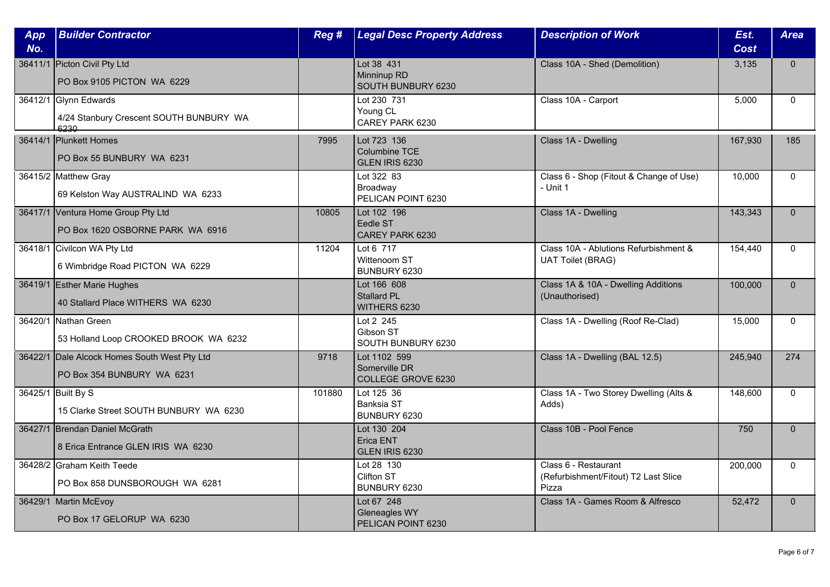| App<br>No. | <b>Builder Contractor</b>                                                  | Reg #  | <b>Legal Desc Property Address</b>                         | <b>Description of Work</b>                                            | Est.<br>Cost | <b>Area</b>  |
|------------|----------------------------------------------------------------------------|--------|------------------------------------------------------------|-----------------------------------------------------------------------|--------------|--------------|
|            | 36411/1 Picton Civil Pty Ltd<br>PO Box 9105 PICTON WA 6229                 |        | Lot 38 431<br>Minninup RD<br>SOUTH BUNBURY 6230            | Class 10A - Shed (Demolition)                                         | 3,135        | $\mathbf{0}$ |
|            | 36412/1 Glynn Edwards<br>4/24 Stanbury Crescent SOUTH BUNBURY WA<br>6230   |        | Lot 230 731<br>Young CL<br>CAREY PARK 6230                 | Class 10A - Carport                                                   | 5,000        | $\mathbf{0}$ |
|            | 36414/1 Plunkett Homes<br>PO Box 55 BUNBURY WA 6231                        | 7995   | Lot 723 136<br>Columbine TCE<br>GLEN IRIS 6230             | Class 1A - Dwelling                                                   | 167,930      | 185          |
|            | 36415/2 Matthew Gray<br>69 Kelston Way AUSTRALIND WA 6233                  |        | Lot 322 83<br>Broadway<br>PELICAN POINT 6230               | Class 6 - Shop (Fitout & Change of Use)<br>- Unit 1                   | 10,000       | $\mathbf{0}$ |
|            | 36417/1 Ventura Home Group Pty Ltd<br>PO Box 1620 OSBORNE PARK WA 6916     | 10805  | Lot 102 196<br>Eedle ST<br>CAREY PARK 6230                 | Class 1A - Dwelling                                                   | 143,343      | $\mathbf{0}$ |
|            | 36418/1 Civilcon WA Pty Ltd<br>6 Wimbridge Road PICTON WA 6229             | 11204  | Lot 6 717<br>Wittenoom ST<br>BUNBURY 6230                  | Class 10A - Ablutions Refurbishment &<br><b>UAT Toilet (BRAG)</b>     | 154,440      | $\mathbf{0}$ |
|            | 36419/1 Esther Marie Hughes<br>40 Stallard Place WITHERS WA 6230           |        | Lot 166 608<br><b>Stallard PL</b><br>WITHERS 6230          | Class 1A & 10A - Dwelling Additions<br>(Unauthorised)                 | 100,000      | $\mathbf{0}$ |
|            | 36420/1 Nathan Green<br>53 Holland Loop CROOKED BROOK WA 6232              |        | Lot 2 245<br>Gibson ST<br>SOUTH BUNBURY 6230               | Class 1A - Dwelling (Roof Re-Clad)                                    | 15,000       | $\mathbf{0}$ |
|            | 36422/1 Dale Alcock Homes South West Pty Ltd<br>PO Box 354 BUNBURY WA 6231 | 9718   | Lot 1102 599<br>Somerville DR<br><b>COLLEGE GROVE 6230</b> | Class 1A - Dwelling (BAL 12.5)                                        | 245,940      | 274          |
|            | 36425/1 Built By S<br>15 Clarke Street SOUTH BUNBURY WA 6230               | 101880 | Lot 125 36<br>Banksia ST<br>BUNBURY 6230                   | Class 1A - Two Storey Dwelling (Alts &<br>Adds)                       | 148,600      | 0            |
|            | 36427/1 Brendan Daniel McGrath<br>8 Erica Entrance GLEN IRIS WA 6230       |        | Lot 130 204<br>Erica ENT<br>GLEN IRIS 6230                 | Class 10B - Pool Fence                                                | 750          | $\mathbf 0$  |
|            | 36428/2 Graham Keith Teede<br>PO Box 858 DUNSBOROUGH WA 6281               |        | Lot 28 130<br>Clifton ST<br>BUNBURY 6230                   | Class 6 - Restaurant<br>(Refurbishment/Fitout) T2 Last Slice<br>Pizza | 200,000      | $\mathbf{0}$ |
|            | 36429/1 Martin McEvoy<br>PO Box 17 GELORUP WA 6230                         |        | Lot 67 248<br><b>Gleneagles WY</b><br>PELICAN POINT 6230   | Class 1A - Games Room & Alfresco                                      | 52,472       | $\mathbf 0$  |